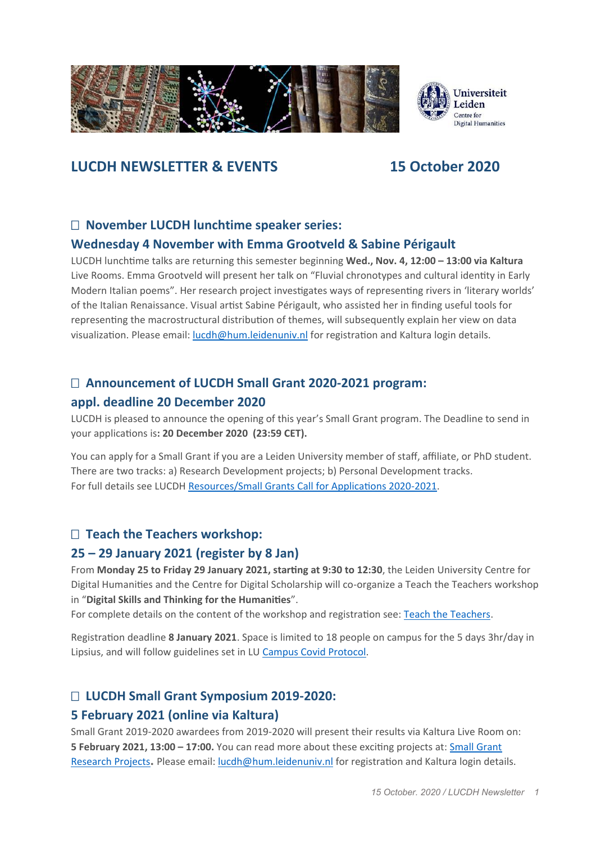



# **LUCDH NEWSLETTER & EVENTS 15 October 2020**

# **November LUCDH lunchtime speaker series:**

# **Wednesday 4 November with Emma Grootveld & Sabine Périgault**

LUCDH lunchtime talks are returning this semester beginning **Wed., Nov. 4, 12:00 – 13:00 via Kaltura** Live Rooms. Emma Grootveld will present her talk on "Fluvial chronotypes and cultural identity in Early Modern Italian poems". Her research project investigates ways of representing rivers in 'literary worlds' of the Italian Renaissance. Visual artist Sabine Périgault, who assisted her in finding useful tools for representing the macrostructural distribution of themes, will subsequently explain her view on data visualization. Please email: [lucdh@hum.leidenuniv.nl](mailto:lucdh@hum.leidenuniv.nl) for registration and Kaltura login details.

# **Announcement of LUCDH Small Grant 2020-2021 program: appl. deadline 20 December 2020**

LUCDH is pleased to announce the opening of this year's Small Grant program. The Deadline to send in your applications is**: 20 December 2020 (23:59 CET).**

You can apply for a Small Grant if you are a Leiden University member of staff, affiliate, or PhD student. There are two tracks: a) Research Development projects; b) Personal Development tracks. For full details see LUCDH [Resources/Small Grants Call for Applications 2020-2021.](https://www.universiteitleiden.nl/en/humanities/centre-for-digital-humanities/resources/sg)

# **Teach the Teachers workshop:**

#### **25 – 29 January 2021 (register by 8 Jan)**

From **Monday 25 to Friday 29 January 2021, starting at 9:30 to 12:30**, the Leiden University Centre for Digital Humanities and the Centre for Digital Scholarship will co-organize a Teach the Teachers workshop in "**Digital Skills and Thinking for the Humanities**".

For complete details on the content of the workshop and registration see[: Teach the Teachers.](https://www.universiteitleiden.nl/en/events/2021/01/teach-the-teachers-workshop-in-digital-skills)

Registration deadline **8 January 2021**. Space is limited to 18 people on campus for the 5 days 3hr/day in Lipsius, and will follow guidelines set in LU [Campus Covid Protocol.](https://www.universiteitleiden.nl/dossiers/coronavirus/updates)

# **LUCDH Small Grant Symposium 2019-2020:**

#### **5 February 2021 (online via Kaltura)**

Small Grant 2019-2020 awardees from 2019-2020 will present their results via Kaltura Live Room on: **5 February 2021, 13:00 – 17:00.** You can read more about these exciting projects at: [Small Grant](https://www.universiteitleiden.nl/en/humanities/centre-for-digital-humanities/projects/small-grant-projects)  [Research Projects](https://www.universiteitleiden.nl/en/humanities/centre-for-digital-humanities/projects/small-grant-projects)**.** Please email: [lucdh@hum.leidenuniv.nl](mailto:lucdh@hum.leidenuniv.nl) for registration and Kaltura login details.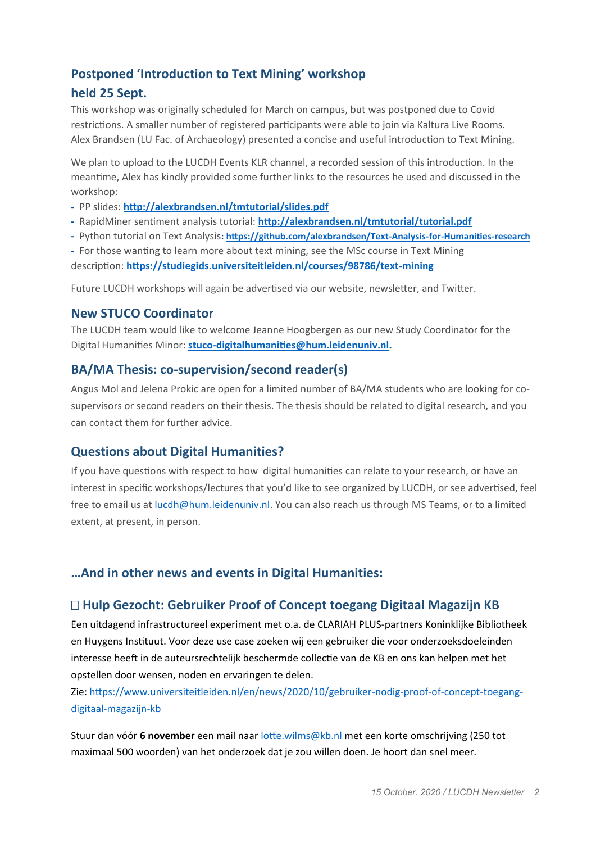# **Postponed 'Introduction to Text Mining' workshop**

## **held 25 Sept.**

This workshop was originally scheduled for March on campus, but was postponed due to Covid restrictions. A smaller number of registered participants were able to join via Kaltura Live Rooms. Alex Brandsen (LU Fac. of Archaeology) presented a concise and useful introduction to Text Mining.

We plan to upload to the LUCDH Events KLR channel, a recorded session of this introduction. In the meantime, Alex has kindly provided some further links to the resources he used and discussed in the workshop:

- **-** PP slides: **<http://alexbrandsen.nl/tmtutorial/slides.pdf>**
- **-** RapidMiner sentiment analysis tutorial: **<http://alexbrandsen.nl/tmtutorial/tutorial.pdf>**
- **-** Python tutorial on Text Analysis**: <https://github.com/alexbrandsen/Text-Analysis-for-Humanities-research>**

**-** For those wanting to learn more about text mining, see the MSc course in Text Mining description: **<https://studiegids.universiteitleiden.nl/courses/98786/text-mining>**

Future LUCDH workshops will again be advertised via our website, newsletter, and Twitter.

#### **New STUCO Coordinator**

The LUCDH team would like to welcome Jeanne Hoogbergen as our new Study Coordinator for the Digital Humanities Minor: **[stuco-digitalhumanities@hum.leidenuniv.nl.](mailto:stuco-digitalhumanities@hum.leidenuniv.nl)** 

### **BA/MA Thesis: co-supervision/second reader(s)**

Angus Mol and Jelena Prokic are open for a limited number of BA/MA students who are looking for cosupervisors or second readers on their thesis. The thesis should be related to digital research, and you can contact them for further advice.

#### **Questions about Digital Humanities?**

If you have questions with respect to how digital humanities can relate to your research, or have an interest in specific workshops/lectures that you'd like to see organized by LUCDH, or see advertised, feel free to email us a[t lucdh@hum.leidenuniv.nl.](mailto:lucdh@hum.leidenuniv.nl) You can also reach us through MS Teams, or to a limited extent, at present, in person.

#### **…And in other news and events in Digital Humanities:**

# **Hulp Gezocht: Gebruiker Proof of Concept toegang Digitaal Magazijn KB**

Een uitdagend infrastructureel experiment met o.a. de CLARIAH PLUS-partners Koninklijke Bibliotheek en Huygens Instituut. Voor deze use case zoeken wij een gebruiker die voor onderzoeksdoeleinden interesse heeft in de auteursrechtelijk beschermde collectie van de KB en ons kan helpen met het opstellen door wensen, noden en ervaringen te delen.

Zie: [https://www.universiteitleiden.nl/en/news/2020/10/gebruiker-nodig-proof-of-concept-toegang](https://www.universiteitleiden.nl/en/news/2020/10/gebruiker-nodig-proof-of-concept-toegang-digitaal-magazijn-kb)[digitaal-magazijn-kb](https://www.universiteitleiden.nl/en/news/2020/10/gebruiker-nodig-proof-of-concept-toegang-digitaal-magazijn-kb)

Stuur dan vóór **6 november** een mail naa[r lotte.wilms@kb.nl](mailto:lotte.wilms@kb.nl) met een korte omschrijving (250 tot maximaal 500 woorden) van het onderzoek dat je zou willen doen. Je hoort dan snel meer.